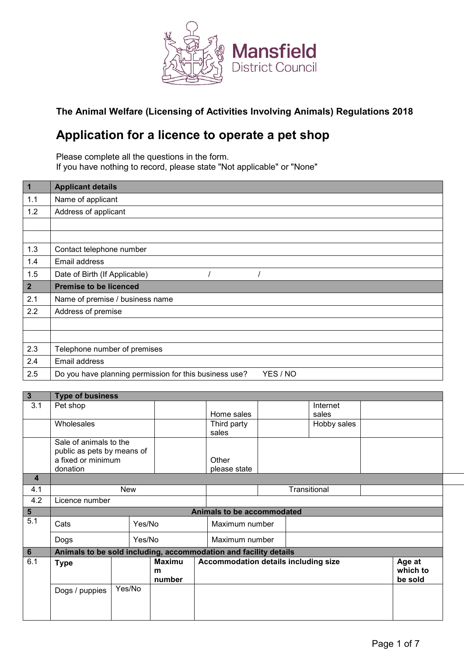

## **The Animal Welfare (Licensing of Activities Involving Animals) Regulations 2018**

# **Application for a licence to operate a pet shop**

Please complete all the questions in the form. If you have nothing to record, please state "Not applicable" or "None"

| $\vert$ 1       | <b>Applicant details</b>        |
|-----------------|---------------------------------|
| 1.1             | Name of applicant               |
| 1.2             | Address of applicant            |
|                 |                                 |
|                 |                                 |
| 1.3             | Contact telephone number        |
| 1.4             | Email address                   |
| 1.5             | Date of Birth (If Applicable)   |
|                 |                                 |
| $2\overline{ }$ | <b>Premise to be licenced</b>   |
| 2.1             | Name of premise / business name |
| 2.2             | Address of premise              |
|                 |                                 |
|                 |                                 |
| 2.3             | Telephone number of premises    |
| 2.4             | Email address                   |

| $\overline{3}$          | <b>Type of business</b>                                          |        |        |               |  |                                      |              |  |             |  |          |
|-------------------------|------------------------------------------------------------------|--------|--------|---------------|--|--------------------------------------|--------------|--|-------------|--|----------|
| 3.1                     | Pet shop                                                         |        |        |               |  |                                      |              |  | Internet    |  |          |
|                         |                                                                  |        |        |               |  | Home sales                           |              |  | sales       |  |          |
|                         | Wholesales                                                       |        |        |               |  | Third party                          |              |  | Hobby sales |  |          |
|                         |                                                                  |        |        |               |  | sales                                |              |  |             |  |          |
|                         | Sale of animals to the                                           |        |        |               |  |                                      |              |  |             |  |          |
|                         | public as pets by means of                                       |        |        |               |  |                                      |              |  |             |  |          |
|                         | a fixed or minimum                                               |        |        |               |  | Other                                |              |  |             |  |          |
|                         | donation                                                         |        |        |               |  | please state                         |              |  |             |  |          |
| $\overline{\mathbf{4}}$ |                                                                  |        |        |               |  |                                      |              |  |             |  |          |
| 4.1                     |                                                                  | New    |        |               |  |                                      | Transitional |  |             |  |          |
| 4.2                     | Licence number                                                   |        |        |               |  |                                      |              |  |             |  |          |
| $\overline{\mathbf{5}}$ |                                                                  |        |        |               |  | Animals to be accommodated           |              |  |             |  |          |
| 5.1                     | Cats                                                             |        | Yes/No |               |  | Maximum number                       |              |  |             |  |          |
|                         | Dogs                                                             |        | Yes/No |               |  | Maximum number                       |              |  |             |  |          |
| $6\phantom{1}$          | Animals to be sold including, accommodation and facility details |        |        |               |  |                                      |              |  |             |  |          |
| 6.1                     | <b>Type</b>                                                      |        |        | <b>Maximu</b> |  | Accommodation details including size |              |  | Age at      |  |          |
|                         |                                                                  |        |        | m             |  |                                      |              |  |             |  | which to |
|                         |                                                                  |        |        | number        |  |                                      |              |  |             |  | be sold  |
|                         | Dogs / puppies                                                   | Yes/No |        |               |  |                                      |              |  |             |  |          |
|                         |                                                                  |        |        |               |  |                                      |              |  |             |  |          |
|                         |                                                                  |        |        |               |  |                                      |              |  |             |  |          |
|                         |                                                                  |        |        |               |  |                                      |              |  |             |  |          |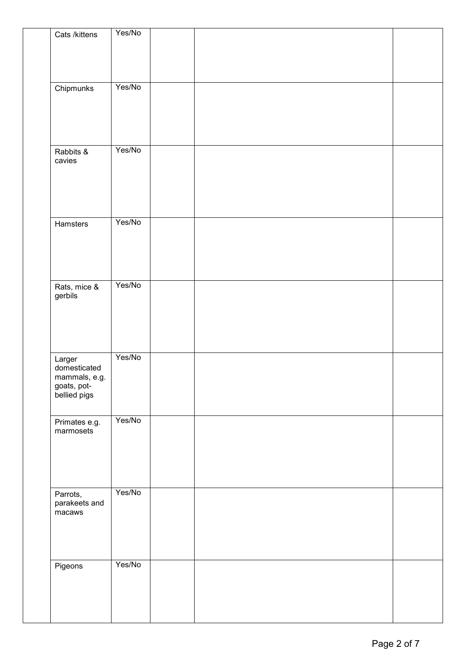| Cats /kittens                 | Yes/No |  |  |
|-------------------------------|--------|--|--|
|                               |        |  |  |
|                               |        |  |  |
|                               |        |  |  |
| Chipmunks                     | Yes/No |  |  |
|                               |        |  |  |
|                               |        |  |  |
|                               |        |  |  |
|                               |        |  |  |
| Rabbits &                     | Yes/No |  |  |
| cavies                        |        |  |  |
|                               |        |  |  |
|                               |        |  |  |
|                               |        |  |  |
| Hamsters                      | Yes/No |  |  |
|                               |        |  |  |
|                               |        |  |  |
|                               |        |  |  |
|                               |        |  |  |
|                               | Yes/No |  |  |
| Rats, mice &<br>gerbils       |        |  |  |
|                               |        |  |  |
|                               |        |  |  |
|                               |        |  |  |
|                               |        |  |  |
| Larger                        | Yes/No |  |  |
| domesticated<br>mammals, e.g. |        |  |  |
| goats, pot-<br>bellied pigs   |        |  |  |
|                               |        |  |  |
|                               |        |  |  |
| Primates e.g.<br>marmosets    | Yes/No |  |  |
|                               |        |  |  |
|                               |        |  |  |
|                               |        |  |  |
|                               |        |  |  |
| Parrots,                      | Yes/No |  |  |
| parakeets and                 |        |  |  |
| macaws                        |        |  |  |
|                               |        |  |  |
|                               |        |  |  |
|                               |        |  |  |
| Pigeons                       | Yes/No |  |  |
|                               |        |  |  |
|                               |        |  |  |
|                               |        |  |  |
|                               |        |  |  |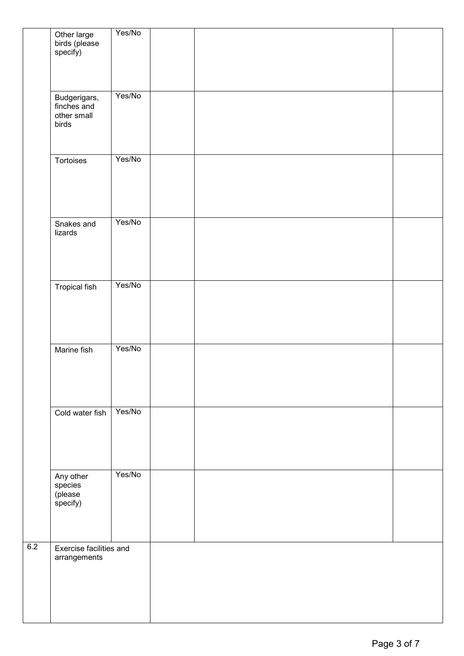|     | Other large<br>birds (please<br>specify)            | Yes/No |  |  |  |
|-----|-----------------------------------------------------|--------|--|--|--|
|     | Budgerigars,<br>finches and<br>other small<br>birds | Yes/No |  |  |  |
|     | Tortoises                                           | Yes/No |  |  |  |
|     | Snakes and<br>lizards                               | Yes/No |  |  |  |
|     | <b>Tropical fish</b>                                | Yes/No |  |  |  |
|     | Marine fish                                         | Yes/No |  |  |  |
|     | Cold water fish                                     | Yes/No |  |  |  |
|     | Any other<br>species<br>(please<br>specify)         | Yes/No |  |  |  |
| 6.2 | Exercise facilities and<br>arrangements             |        |  |  |  |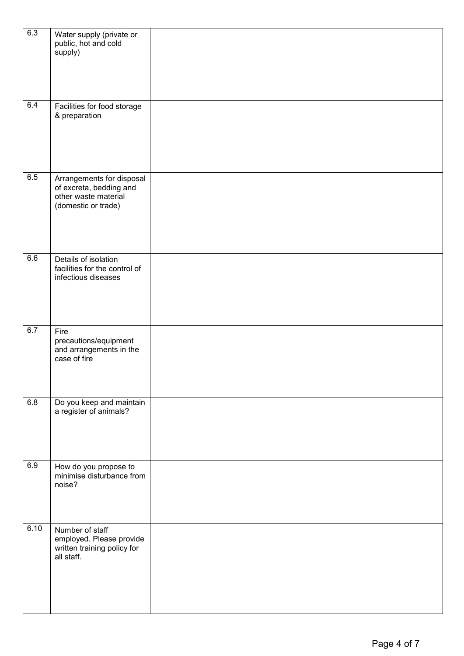| 6.3              | Water supply (private or<br>public, hot and cold<br>supply)                                         |  |
|------------------|-----------------------------------------------------------------------------------------------------|--|
| 6.4              | Facilities for food storage<br>& preparation                                                        |  |
| $\overline{6.5}$ | Arrangements for disposal<br>of excreta, bedding and<br>other waste material<br>(domestic or trade) |  |
| 6.6              | Details of isolation<br>facilities for the control of<br>infectious diseases                        |  |
| 6.7              | Fire<br>precautions/equipment<br>and arrangements in the<br>case of fire                            |  |
| 6.8              | Do you keep and maintain<br>a register of animals?                                                  |  |
| 6.9              | How do you propose to<br>minimise disturbance from<br>noise?                                        |  |
| 6.10             | Number of staff<br>employed. Please provide<br>written training policy for<br>all staff.            |  |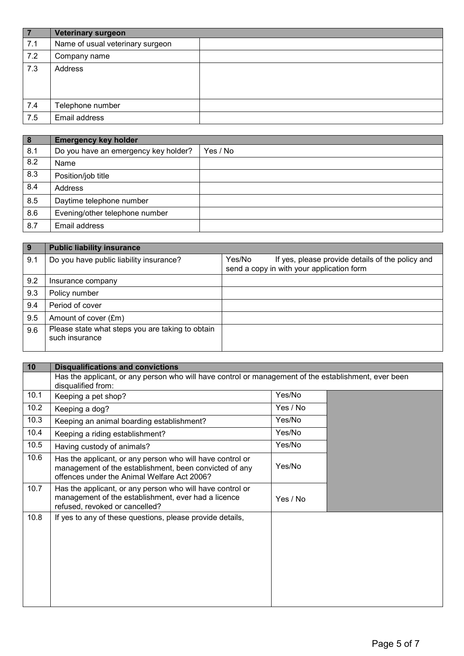| l 7 | <b>Veterinary surgeon</b>        |  |
|-----|----------------------------------|--|
| 7.1 | Name of usual veterinary surgeon |  |
| 7.2 | Company name                     |  |
| 7.3 | Address                          |  |
| 7.4 | Telephone number                 |  |
| 7.5 | Email address                    |  |

| $\boxed{8}$ | <b>Emergency key holder</b>          |          |
|-------------|--------------------------------------|----------|
| 8.1         | Do you have an emergency key holder? | Yes / No |
| 8.2         | Name                                 |          |
| 8.3         | Position/job title                   |          |
| 8.4         | Address                              |          |
| 8.5         | Daytime telephone number             |          |
| 8.6         | Evening/other telephone number       |          |
| 8.7         | Email address                        |          |

| -9  | <b>Public liability insurance</b>                                  |                                                                                                         |
|-----|--------------------------------------------------------------------|---------------------------------------------------------------------------------------------------------|
| 9.1 | Do you have public liability insurance?                            | Yes/No<br>If yes, please provide details of the policy and<br>send a copy in with your application form |
| 9.2 | Insurance company                                                  |                                                                                                         |
| 9.3 | Policy number                                                      |                                                                                                         |
| 9.4 | Period of cover                                                    |                                                                                                         |
| 9.5 | Amount of cover (£m)                                               |                                                                                                         |
| 9.6 | Please state what steps you are taking to obtain<br>such insurance |                                                                                                         |

| 10   | <b>Disqualifications and convictions</b>                                                                                                                           |          |  |
|------|--------------------------------------------------------------------------------------------------------------------------------------------------------------------|----------|--|
|      | Has the applicant, or any person who will have control or management of the establishment, ever been<br>disqualified from:                                         |          |  |
| 10.1 | Keeping a pet shop?                                                                                                                                                | Yes/No   |  |
| 10.2 | Keeping a dog?                                                                                                                                                     | Yes / No |  |
| 10.3 | Keeping an animal boarding establishment?                                                                                                                          | Yes/No   |  |
| 10.4 | Keeping a riding establishment?                                                                                                                                    | Yes/No   |  |
| 10.5 | Having custody of animals?                                                                                                                                         | Yes/No   |  |
| 10.6 | Has the applicant, or any person who will have control or<br>management of the establishment, been convicted of any<br>offences under the Animal Welfare Act 2006? | Yes/No   |  |
| 10.7 | Has the applicant, or any person who will have control or<br>management of the establishment, ever had a licence<br>refused, revoked or cancelled?                 | Yes / No |  |
| 10.8 | If yes to any of these questions, please provide details,                                                                                                          |          |  |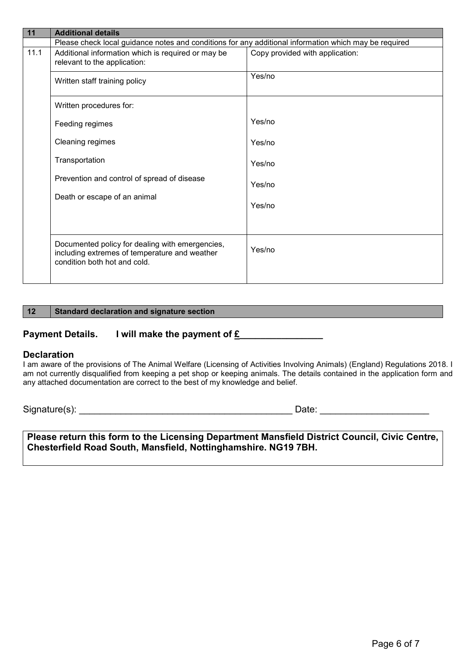| 11   | <b>Additional details</b>                                                                                                        |                                 |  |  |  |
|------|----------------------------------------------------------------------------------------------------------------------------------|---------------------------------|--|--|--|
|      | Please check local guidance notes and conditions for any additional information which may be required                            |                                 |  |  |  |
| 11.1 | Additional information which is required or may be<br>relevant to the application:                                               | Copy provided with application: |  |  |  |
|      | Written staff training policy                                                                                                    | Yes/no                          |  |  |  |
|      | Written procedures for:                                                                                                          |                                 |  |  |  |
|      | Feeding regimes                                                                                                                  | Yes/no                          |  |  |  |
|      | Cleaning regimes                                                                                                                 | Yes/no                          |  |  |  |
|      | Transportation                                                                                                                   | Yes/no                          |  |  |  |
|      | Prevention and control of spread of disease                                                                                      | Yes/no                          |  |  |  |
|      | Death or escape of an animal                                                                                                     | Yes/no                          |  |  |  |
|      | Documented policy for dealing with emergencies,<br>including extremes of temperature and weather<br>condition both hot and cold. | Yes/no                          |  |  |  |

#### **12 Standard declaration and signature section**

### Payment Details. I will make the payment of £

#### **Declaration**

I am aware of the provisions of The Animal Welfare (Licensing of Activities Involving Animals) (England) Regulations 2018. I am not currently disqualified from keeping a pet shop or keeping animals. The details contained in the application form and any attached documentation are correct to the best of my knowledge and belief.

Signature(s): \_\_\_\_\_\_\_\_\_\_\_\_\_\_\_\_\_\_\_\_\_\_\_\_\_\_\_\_\_\_\_\_\_\_\_\_\_\_\_\_\_ Date: \_\_\_\_\_\_\_\_\_\_\_\_\_\_\_\_\_\_\_\_\_

**Please return this form to the Licensing Department Mansfield District Council, Civic Centre, Chesterfield Road South, Mansfield, Nottinghamshire. NG19 7BH.**